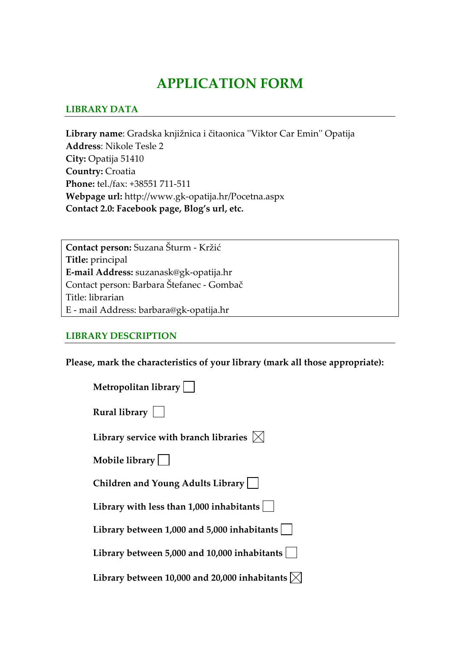# **APPLICATION FORM**

#### **LIBRARY DATA**

**Library name**: Gradska knjižnica i čitaonica ʹʹViktor Car Eminʹʹ Opatija **Address**: Nikole Tesle 2 **City:** Opatija 51410 **Country:** Croatia **Phone:** tel./fax: +38551 711‐511 **Webpage url:** http://www.gk‐opatija.hr/Pocetna.aspx **Contact 2.0: Facebook page, Blog's url, etc.**

**Contact person:** Suzana Šturm ‐ Kržić **Title:** principal **E‐mail Address:** suzanask@gk‐opatija.hr Contact person: Barbara Štefanec ‐ Gombač Title: librarian E ‐ mail Address: barbara@gk‐opatija.hr

#### **LIBRARY DESCRIPTION**

**Please, mark the characteristics of your library (mark all those appropriate):**

| <b>Metropolitan library [</b> |  |  |
|-------------------------------|--|--|
|                               |  |  |

| Rural library |  |
|---------------|--|
|---------------|--|

Library service with branch libraries  $\boxtimes$ 

**Mobile library**

**Children and Young Adults Library**

**Library with less than 1,000 inhabitants**

**Library between 1,000 and 5,000 inhabitants**

**Library between 5,000 and 10,000 inhabitants**

**Library** between 10,000 and 20,000 inhabitants  $\vert\mathbf{x}\vert$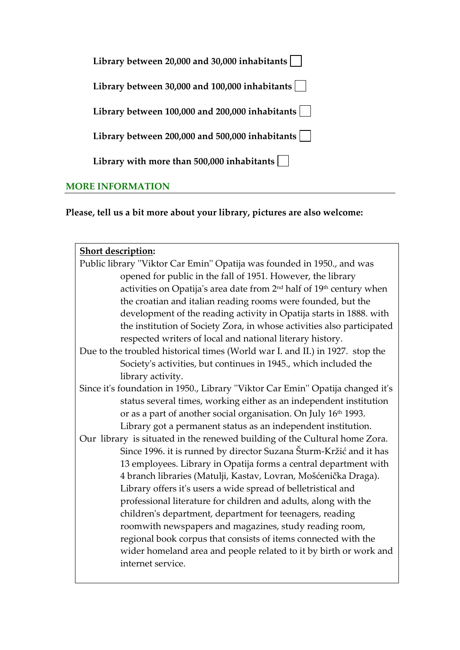| Library between 20,000 and 30,000 inhabitants               |  |
|-------------------------------------------------------------|--|
| Library between 30,000 and 100,000 inhabitants              |  |
| Library between $100,000$ and $200,000$ inhabitants $\vert$ |  |
| Library between 200,000 and 500,000 inhabitants             |  |
| Library with more than $500,000$ inhabitants                |  |
| <b>RE INFORMATIO</b>                                        |  |

**Please, tell us a bit more about your library, pictures are also welcome:** 

| <b>Short description:</b>                                                                    |  |  |  |  |
|----------------------------------------------------------------------------------------------|--|--|--|--|
| Public library "Viktor Car Emin" Opatija was founded in 1950., and was                       |  |  |  |  |
| opened for public in the fall of 1951. However, the library                                  |  |  |  |  |
| activities on Opatija's area date from 2 <sup>nd</sup> half of 19 <sup>th</sup> century when |  |  |  |  |
| the croatian and italian reading rooms were founded, but the                                 |  |  |  |  |
| development of the reading activity in Opatija starts in 1888. with                          |  |  |  |  |
| the institution of Society Zora, in whose activities also participated                       |  |  |  |  |
| respected writers of local and national literary history.                                    |  |  |  |  |
| Due to the troubled historical times (World war I. and II.) in 1927. stop the                |  |  |  |  |
| Society's activities, but continues in 1945., which included the                             |  |  |  |  |
| library activity.                                                                            |  |  |  |  |
| Since it's foundation in 1950., Library "Viktor Car Emin" Opatija changed it's               |  |  |  |  |
| status several times, working either as an independent institution                           |  |  |  |  |
| or as a part of another social organisation. On July 16th 1993.                              |  |  |  |  |
| Library got a permanent status as an independent institution.                                |  |  |  |  |
| Our library is situated in the renewed building of the Cultural home Zora.                   |  |  |  |  |
| Since 1996. it is runned by director Suzana Šturm-Kržić and it has                           |  |  |  |  |
| 13 employees. Library in Opatija forms a central department with                             |  |  |  |  |
| 4 branch libraries (Matulji, Kastav, Lovran, Mošćenička Draga).                              |  |  |  |  |
| Library offers it's users a wide spread of belletristical and                                |  |  |  |  |
| professional literature for children and adults, along with the                              |  |  |  |  |
| children's department, department for teenagers, reading                                     |  |  |  |  |
| roomwith newspapers and magazines, study reading room,                                       |  |  |  |  |
| regional book corpus that consists of items connected with the                               |  |  |  |  |
| wider homeland area and people related to it by birth or work and                            |  |  |  |  |
| internet service.                                                                            |  |  |  |  |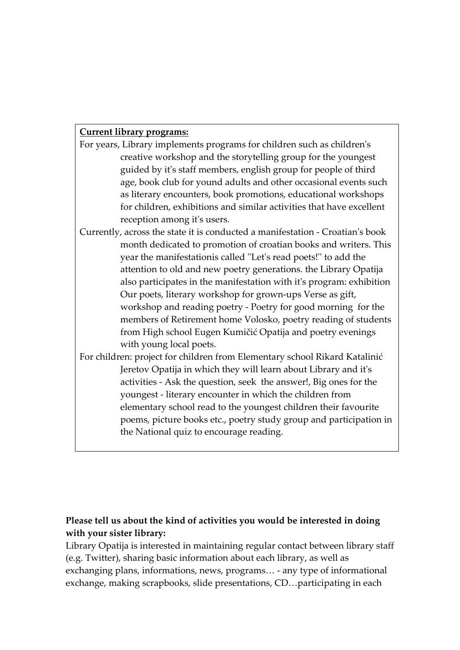#### **Current library programs:**

- For years, Library implements programs for children such as childrenʹs creative workshop and the storytelling group for the youngest guided by itʹs staff members, english group for people of third age, book club for yound adults and other occasional events such as literary encounters, book promotions, educational workshops for children, exhibitions and similar activities that have excellent reception among itʹs users.
- Currently, across the state it is conducted a manifestation ‐ Croatianʹs book month dedicated to promotion of croatian books and writers. This year the manifestationis called "Let's read poets!" to add the attention to old and new poetry generations. the Library Opatija also participates in the manifestation with itʹs program: exhibition Our poets, literary workshop for grown‐ups Verse as gift, workshop and reading poetry ‐ Poetry for good morning for the members of Retirement home Volosko, poetry reading of students from High school Eugen Kumičić Opatija and poetry evenings with young local poets.
- For children: project for children from Elementary school Rikard Katalinić Jeretov Opatija in which they will learn about Library and itʹs activities ‐ Ask the question, seek the answer!, Big ones for the youngest ‐ literary encounter in which the children from elementary school read to the youngest children their favourite poems, picture books etc., poetry study group and participation in the National quiz to encourage reading.

# **Please tell us about the kind of activities you would be interested in doing with your sister library:**

Library Opatija is interested in maintaining regular contact between library staff (e.g. Twitter), sharing basic information about each library, as well as exchanging plans, informations, news, programs… ‐ any type of informational exchange, making scrapbooks, slide presentations, CD…participating in each